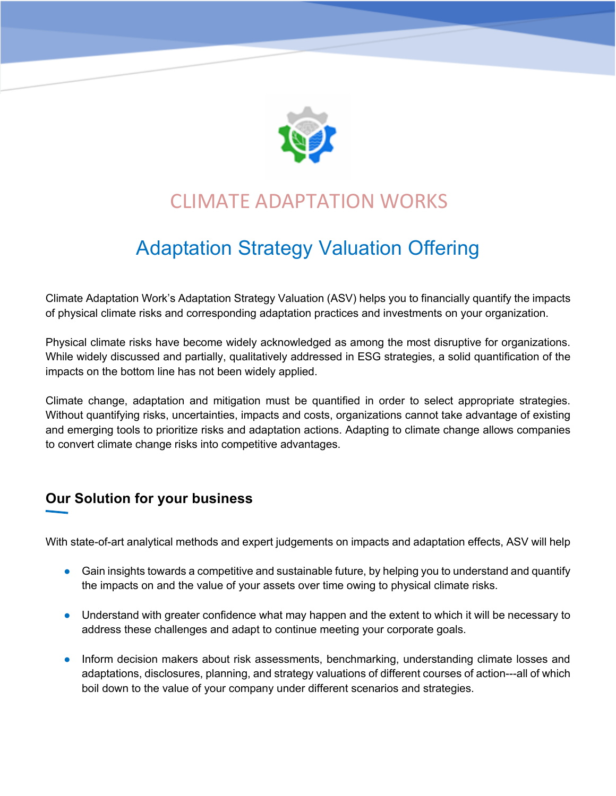

## CLIMATE ADAPTATION WORKS

# Adaptation Strategy Valuation Offering

Climate Adaptation Work's Adaptation Strategy Valuation (ASV) helps you to financially quantify the impacts of physical climate risks and corresponding adaptation practices and investments on your organization.

Physical climate risks have become widely acknowledged as among the most disruptive for organizations. While widely discussed and partially, qualitatively addressed in ESG strategies, a solid quantification of the impacts on the bottom line has not been widely applied.

Climate change, adaptation and mitigation must be quantified in order to select appropriate strategies. Without quantifying risks, uncertainties, impacts and costs, organizations cannot take advantage of existing and emerging tools to prioritize risks and adaptation actions. Adapting to climate change allows companies to convert climate change risks into competitive advantages.

## **Our Solution for your business**

With state-of-art analytical methods and expert judgements on impacts and adaptation effects, ASV will help

- Gain insights towards a competitive and sustainable future, by helping you to understand and quantify the impacts on and the value of your assets over time owing to physical climate risks.
- Understand with greater confidence what may happen and the extent to which it will be necessary to address these challenges and adapt to continue meeting your corporate goals.
- Inform decision makers about risk assessments, benchmarking, understanding climate losses and adaptations, disclosures, planning, and strategy valuations of different courses of action---all of which boil down to the value of your company under different scenarios and strategies.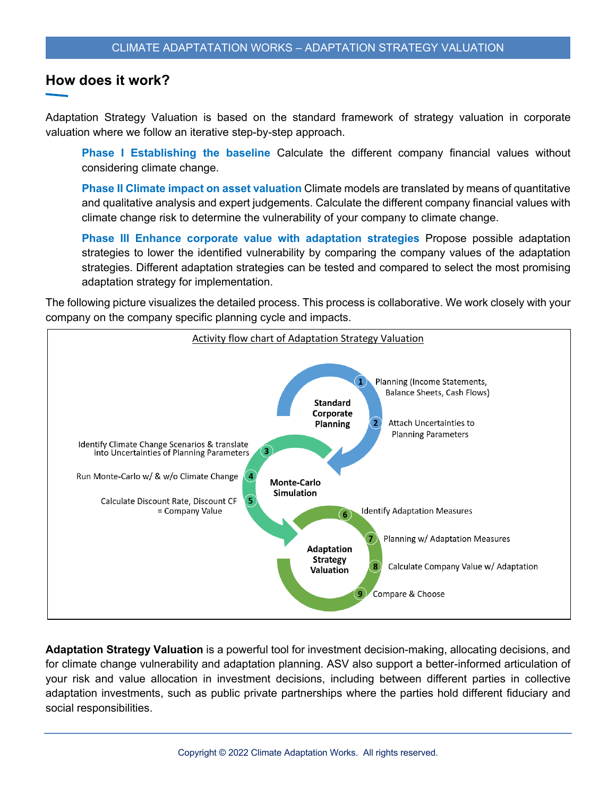## **How does it work?**

Adaptation Strategy Valuation is based on the standard framework of strategy valuation in corporate valuation where we follow an iterative step-by-step approach.

**Phase I Establishing the baseline** Calculate the different company financial values without considering climate change.

**Phase II Climate impact on asset valuation** Climate models are translated by means of quantitative and qualitative analysis and expert judgements. Calculate the different company financial values with climate change risk to determine the vulnerability of your company to climate change.

**Phase III Enhance corporate value with adaptation strategies** Propose possible adaptation strategies to lower the identified vulnerability by comparing the company values of the adaptation strategies. Different adaptation strategies can be tested and compared to select the most promising adaptation strategy for implementation.

The following picture visualizes the detailed process. This process is collaborative. We work closely with your company on the company specific planning cycle and impacts.



**Adaptation Strategy Valuation** is a powerful tool for investment decision-making, allocating decisions, and for climate change vulnerability and adaptation planning. ASV also support a better-informed articulation of your risk and value allocation in investment decisions, including between different parties in collective adaptation investments, such as public private partnerships where the parties hold different fiduciary and social responsibilities.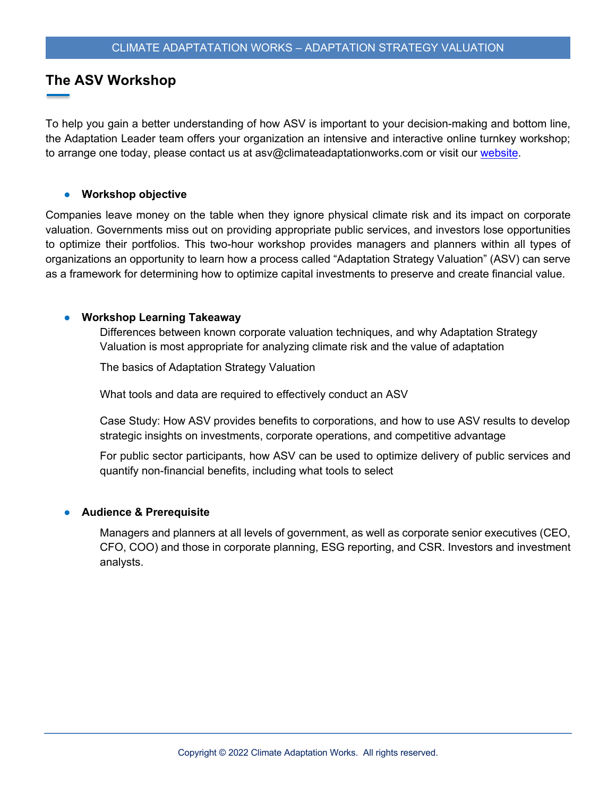## **The ASV Workshop**

To help you gain a better understanding of how ASV is important to your decision-making and bottom line, the Adaptation Leader team offers your organization an intensive and interactive online turnkey workshop; to arrange one today, please contact us at asv@climateadaptationworks.com or visit our website.

#### ● **Workshop objective**

Companies leave money on the table when they ignore physical climate risk and its impact on corporate valuation. Governments miss out on providing appropriate public services, and investors lose opportunities to optimize their portfolios. This two-hour workshop provides managers and planners within all types of organizations an opportunity to learn how a process called "Adaptation Strategy Valuation" (ASV) can serve as a framework for determining how to optimize capital investments to preserve and create financial value.

#### ● **Workshop Learning Takeaway**

 Differences between known corporate valuation techniques, and why Adaptation Strategy Valuation is most appropriate for analyzing climate risk and the value of adaptation

The basics of Adaptation Strategy Valuation

What tools and data are required to effectively conduct an ASV

 Case Study: How ASV provides benefits to corporations, and how to use ASV results to develop strategic insights on investments, corporate operations, and competitive advantage

 For public sector participants, how ASV can be used to optimize delivery of public services and quantify non-financial benefits, including what tools to select

#### ● **Audience & Prerequisite**

 Managers and planners at all levels of government, as well as corporate senior executives (CEO, CFO, COO) and those in corporate planning, ESG reporting, and CSR. Investors and investment analysts.